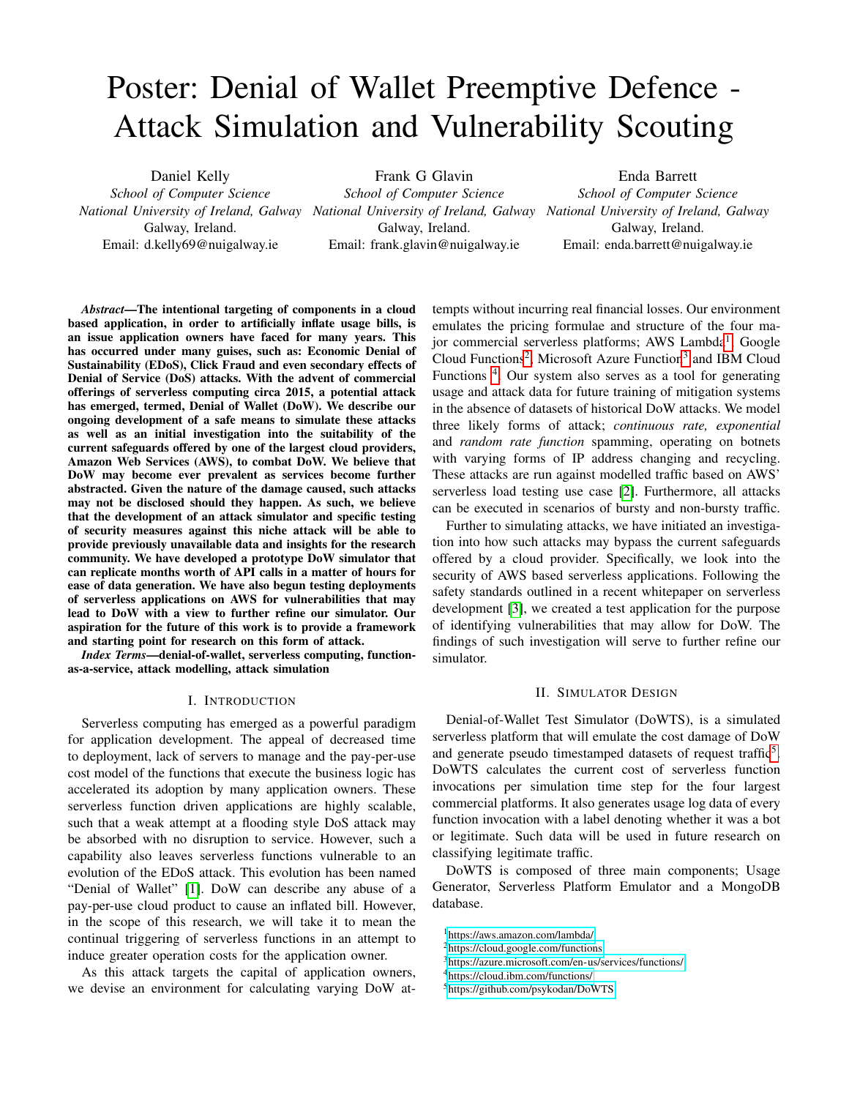# Poster: Denial of Wallet Preemptive Defence - Attack Simulation and Vulnerability Scouting

Daniel Kelly *School of Computer Science* Galway, Ireland. Email: d.kelly69@nuigalway.ie Frank G Glavin

*National University of Ireland, Galway National University of Ireland, Galway National University of Ireland, Galway School of Computer Science* Galway, Ireland. Email: frank.glavin@nuigalway.ie Enda Barrett *School of Computer Science* Galway, Ireland. Email: enda.barrett@nuigalway.ie

*Abstract*—The intentional targeting of components in a cloud based application, in order to artificially inflate usage bills, is an issue application owners have faced for many years. This has occurred under many guises, such as: Economic Denial of Sustainability (EDoS), Click Fraud and even secondary effects of Denial of Service (DoS) attacks. With the advent of commercial offerings of serverless computing circa 2015, a potential attack has emerged, termed, Denial of Wallet (DoW). We describe our ongoing development of a safe means to simulate these attacks as well as an initial investigation into the suitability of the current safeguards offered by one of the largest cloud providers, Amazon Web Services (AWS), to combat DoW. We believe that DoW may become ever prevalent as services become further abstracted. Given the nature of the damage caused, such attacks may not be disclosed should they happen. As such, we believe that the development of an attack simulator and specific testing of security measures against this niche attack will be able to provide previously unavailable data and insights for the research community. We have developed a prototype DoW simulator that can replicate months worth of API calls in a matter of hours for ease of data generation. We have also begun testing deployments of serverless applications on AWS for vulnerabilities that may lead to DoW with a view to further refine our simulator. Our aspiration for the future of this work is to provide a framework and starting point for research on this form of attack.

*Index Terms*—denial-of-wallet, serverless computing, functionas-a-service, attack modelling, attack simulation

## I. INTRODUCTION

Serverless computing has emerged as a powerful paradigm for application development. The appeal of decreased time to deployment, lack of servers to manage and the pay-per-use cost model of the functions that execute the business logic has accelerated its adoption by many application owners. These serverless function driven applications are highly scalable, such that a weak attempt at a flooding style DoS attack may be absorbed with no disruption to service. However, such a capability also leaves serverless functions vulnerable to an evolution of the EDoS attack. This evolution has been named "Denial of Wallet" [\[1\]](#page-1-0). DoW can describe any abuse of a pay-per-use cloud product to cause an inflated bill. However, in the scope of this research, we will take it to mean the continual triggering of serverless functions in an attempt to induce greater operation costs for the application owner.

As this attack targets the capital of application owners, we devise an environment for calculating varying DoW attempts without incurring real financial losses. Our environment emulates the pricing formulae and structure of the four ma-jor commercial serverless platforms; AWS Lambda<sup>[1](#page-0-0)</sup>, Google Cloud Functions<sup>[2](#page-0-1)</sup>, Microsoft Azure Function<sup>[3](#page-0-2)</sup> and IBM Cloud Functions<sup>[4](#page-0-3)</sup>. Our system also serves as a tool for generating usage and attack data for future training of mitigation systems in the absence of datasets of historical DoW attacks. We model three likely forms of attack; *continuous rate, exponential* and *random rate function* spamming, operating on botnets with varying forms of IP address changing and recycling. These attacks are run against modelled traffic based on AWS' serverless load testing use case [\[2\]](#page-1-1). Furthermore, all attacks can be executed in scenarios of bursty and non-bursty traffic.

Further to simulating attacks, we have initiated an investigation into how such attacks may bypass the current safeguards offered by a cloud provider. Specifically, we look into the security of AWS based serverless applications. Following the safety standards outlined in a recent whitepaper on serverless development [\[3\]](#page-1-2), we created a test application for the purpose of identifying vulnerabilities that may allow for DoW. The findings of such investigation will serve to further refine our simulator.

## II. SIMULATOR DESIGN

Denial-of-Wallet Test Simulator (DoWTS), is a simulated serverless platform that will emulate the cost damage of DoW and generate pseudo timestamped datasets of request traffic<sup>[5](#page-0-4)</sup>. DoWTS calculates the current cost of serverless function invocations per simulation time step for the four largest commercial platforms. It also generates usage log data of every function invocation with a label denoting whether it was a bot or legitimate. Such data will be used in future research on classifying legitimate traffic.

DoWTS is composed of three main components; Usage Generator, Serverless Platform Emulator and a MongoDB database.

<span id="page-0-0"></span><sup>1</sup><https://aws.amazon.com/lambda/>

<span id="page-0-1"></span><sup>2</sup><https://cloud.google.com/functions>

<span id="page-0-2"></span><sup>3</sup><https://azure.microsoft.com/en-us/services/functions/>

<span id="page-0-3"></span><sup>4</sup><https://cloud.ibm.com/functions/>

<span id="page-0-4"></span><sup>5</sup><https://github.com/psykodan/DoWTS>